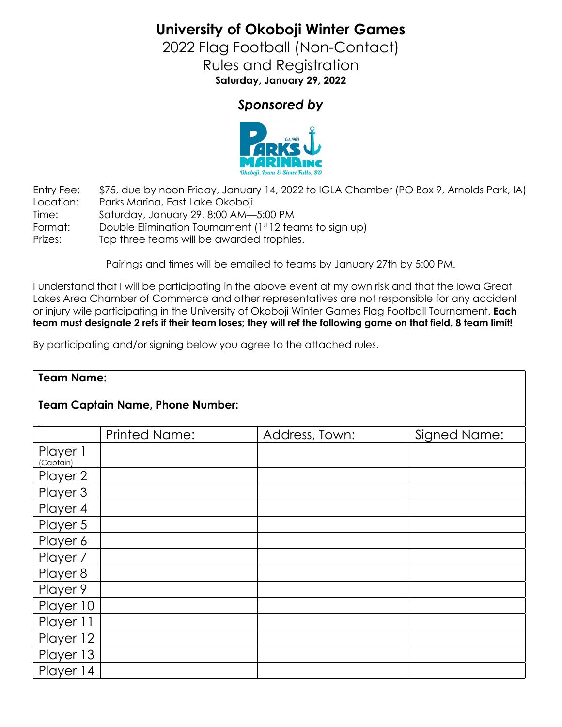**University of Okoboji Winter Games**

2022 Flag Football (Non-Contact) Rules and Registration **Saturday, January 29, 2022**

## *Sponsored by*



Entry Fee: \$75, due by noon Friday, January 14, 2022 to IGLA Chamber (PO Box 9, Arnolds Park, IA) Location: Parks Marina, East Lake Okoboji Time: Saturday, January 29, 8:00 AM—5:00 PM Format: Double Elimination Tournament (1<sup>st</sup> 12 teams to sign up) Prizes: Top three teams will be awarded trophies.

Pairings and times will be emailed to teams by January 27th by 5:00 PM.

I understand that I will be participating in the above event at my own risk and that the Iowa Great Lakes Area Chamber of Commerce and other representatives are not responsible for any accident or injury wile participating in the University of Okoboji Winter Games Flag Football Tournament. **Each team must designate 2 refs if their team loses; they will ref the following game on that field. 8 team limit!** 

By participating and/or signing below you agree to the attached rules.

| <b>Team Name:</b>                       |                      |                |              |
|-----------------------------------------|----------------------|----------------|--------------|
| <b>Team Captain Name, Phone Number:</b> |                      |                |              |
|                                         | <b>Printed Name:</b> | Address, Town: | Signed Name: |
| Player 1<br>(Captain)                   |                      |                |              |
| Player 2                                |                      |                |              |
| Player 3                                |                      |                |              |
| Player 4                                |                      |                |              |
| Player 5                                |                      |                |              |
| Player 6                                |                      |                |              |
| Player 7                                |                      |                |              |
| Player 8                                |                      |                |              |
| Player 9                                |                      |                |              |
| Player 10                               |                      |                |              |
| Player 11                               |                      |                |              |
| Player 12                               |                      |                |              |
| Player 13                               |                      |                |              |
| Player 14                               |                      |                |              |